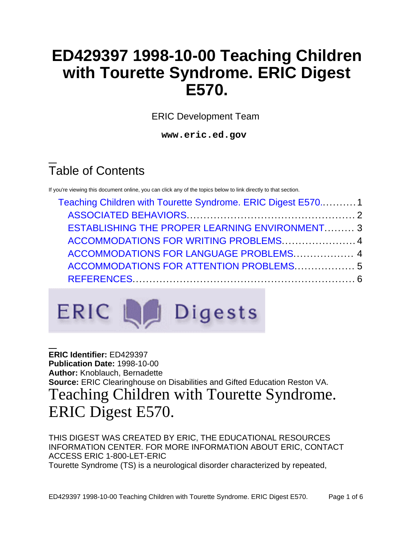## **ED429397 1998-10-00 Teaching Children with Tourette Syndrome. ERIC Digest E570.**

ERIC Development Team

**www.eric.ed.gov**

# Table of Contents

If you're viewing this document online, you can click any of the topics below to link directly to that section.

| Teaching Children with Tourette Syndrome. ERIC Digest E5701                                                                               |  |                                         |  |
|-------------------------------------------------------------------------------------------------------------------------------------------|--|-----------------------------------------|--|
|                                                                                                                                           |  |                                         |  |
| <b>ESTABLISHING THE PROPER LEARNING ENVIRONMENT 3</b><br>ACCOMMODATIONS FOR WRITING PROBLEMS  4<br>ACCOMMODATIONS FOR LANGUAGE PROBLEMS 4 |  |                                         |  |
|                                                                                                                                           |  | ACCOMMODATIONS FOR ATTENTION PROBLEMS 5 |  |
|                                                                                                                                           |  |                                         |  |
|                                                                                                                                           |  |                                         |  |



<span id="page-0-0"></span>**ERIC Identifier:** ED429397 **Publication Date:** 1998-10-00 **Author:** Knoblauch, Bernadette **Source:** ERIC Clearinghouse on Disabilities and Gifted Education Reston VA. Teaching Children with Tourette Syndrome. ERIC Digest E570.

THIS DIGEST WAS CREATED BY ERIC, THE EDUCATIONAL RESOURCES INFORMATION CENTER. FOR MORE INFORMATION ABOUT ERIC, CONTACT ACCESS ERIC 1-800-LET-ERIC Tourette Syndrome (TS) is a neurological disorder characterized by repeated,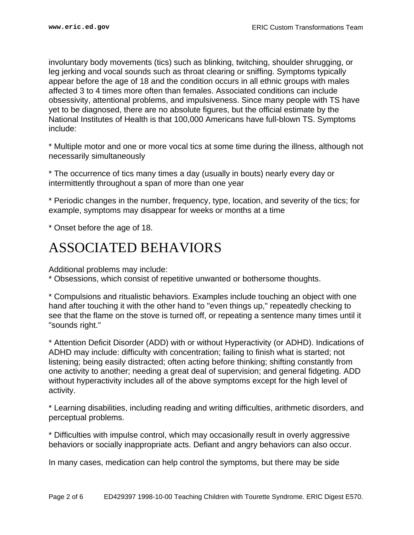involuntary body movements (tics) such as blinking, twitching, shoulder shrugging, or leg jerking and vocal sounds such as throat clearing or sniffing. Symptoms typically appear before the age of 18 and the condition occurs in all ethnic groups with males affected 3 to 4 times more often than females. Associated conditions can include obsessivity, attentional problems, and impulsiveness. Since many people with TS have yet to be diagnosed, there are no absolute figures, but the official estimate by the National Institutes of Health is that 100,000 Americans have full-blown TS. Symptoms include:

\* Multiple motor and one or more vocal tics at some time during the illness, although not necessarily simultaneously

\* The occurrence of tics many times a day (usually in bouts) nearly every day or intermittently throughout a span of more than one year

\* Periodic changes in the number, frequency, type, location, and severity of the tics; for example, symptoms may disappear for weeks or months at a time

\* Onset before the age of 18.

## <span id="page-1-0"></span>ASSOCIATED BEHAVIORS

Additional problems may include:

\* Obsessions, which consist of repetitive unwanted or bothersome thoughts.

\* Compulsions and ritualistic behaviors. Examples include touching an object with one hand after touching it with the other hand to "even things up," repeatedly checking to see that the flame on the stove is turned off, or repeating a sentence many times until it "sounds right."

\* Attention Deficit Disorder (ADD) with or without Hyperactivity (or ADHD). Indications of ADHD may include: difficulty with concentration; failing to finish what is started; not listening; being easily distracted; often acting before thinking; shifting constantly from one activity to another; needing a great deal of supervision; and general fidgeting. ADD without hyperactivity includes all of the above symptoms except for the high level of activity.

\* Learning disabilities, including reading and writing difficulties, arithmetic disorders, and perceptual problems.

\* Difficulties with impulse control, which may occasionally result in overly aggressive behaviors or socially inappropriate acts. Defiant and angry behaviors can also occur.

In many cases, medication can help control the symptoms, but there may be side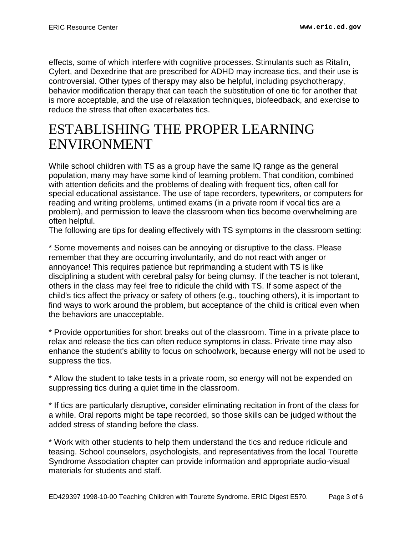effects, some of which interfere with cognitive processes. Stimulants such as Ritalin, Cylert, and Dexedrine that are prescribed for ADHD may increase tics, and their use is controversial. Other types of therapy may also be helpful, including psychotherapy, behavior modification therapy that can teach the substitution of one tic for another that is more acceptable, and the use of relaxation techniques, biofeedback, and exercise to reduce the stress that often exacerbates tics.

## <span id="page-2-0"></span>ESTABLISHING THE PROPER LEARNING ENVIRONMENT

While school children with TS as a group have the same IQ range as the general population, many may have some kind of learning problem. That condition, combined with attention deficits and the problems of dealing with frequent tics, often call for special educational assistance. The use of tape recorders, typewriters, or computers for reading and writing problems, untimed exams (in a private room if vocal tics are a problem), and permission to leave the classroom when tics become overwhelming are often helpful.

The following are tips for dealing effectively with TS symptoms in the classroom setting:

\* Some movements and noises can be annoying or disruptive to the class. Please remember that they are occurring involuntarily, and do not react with anger or annoyance! This requires patience but reprimanding a student with TS is like disciplining a student with cerebral palsy for being clumsy. If the teacher is not tolerant, others in the class may feel free to ridicule the child with TS. If some aspect of the child's tics affect the privacy or safety of others (e.g., touching others), it is important to find ways to work around the problem, but acceptance of the child is critical even when the behaviors are unacceptable.

\* Provide opportunities for short breaks out of the classroom. Time in a private place to relax and release the tics can often reduce symptoms in class. Private time may also enhance the student's ability to focus on schoolwork, because energy will not be used to suppress the tics.

\* Allow the student to take tests in a private room, so energy will not be expended on suppressing tics during a quiet time in the classroom.

\* If tics are particularly disruptive, consider eliminating recitation in front of the class for a while. Oral reports might be tape recorded, so those skills can be judged without the added stress of standing before the class.

\* Work with other students to help them understand the tics and reduce ridicule and teasing. School counselors, psychologists, and representatives from the local Tourette Syndrome Association chapter can provide information and appropriate audio-visual materials for students and staff.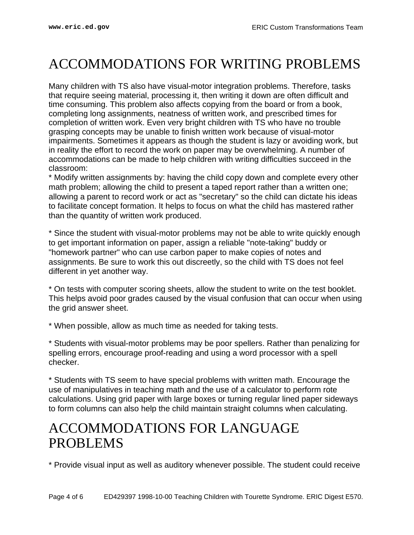## <span id="page-3-0"></span>ACCOMMODATIONS FOR WRITING PROBLEMS

Many children with TS also have visual-motor integration problems. Therefore, tasks that require seeing material, processing it, then writing it down are often difficult and time consuming. This problem also affects copying from the board or from a book, completing long assignments, neatness of written work, and prescribed times for completion of written work. Even very bright children with TS who have no trouble grasping concepts may be unable to finish written work because of visual-motor impairments. Sometimes it appears as though the student is lazy or avoiding work, but in reality the effort to record the work on paper may be overwhelming. A number of accommodations can be made to help children with writing difficulties succeed in the classroom:

\* Modify written assignments by: having the child copy down and complete every other math problem; allowing the child to present a taped report rather than a written one; allowing a parent to record work or act as "secretary" so the child can dictate his ideas to facilitate concept formation. It helps to focus on what the child has mastered rather than the quantity of written work produced.

\* Since the student with visual-motor problems may not be able to write quickly enough to get important information on paper, assign a reliable "note-taking" buddy or "homework partner" who can use carbon paper to make copies of notes and assignments. Be sure to work this out discreetly, so the child with TS does not feel different in yet another way.

\* On tests with computer scoring sheets, allow the student to write on the test booklet. This helps avoid poor grades caused by the visual confusion that can occur when using the grid answer sheet.

\* When possible, allow as much time as needed for taking tests.

\* Students with visual-motor problems may be poor spellers. Rather than penalizing for spelling errors, encourage proof-reading and using a word processor with a spell checker.

\* Students with TS seem to have special problems with written math. Encourage the use of manipulatives in teaching math and the use of a calculator to perform rote calculations. Using grid paper with large boxes or turning regular lined paper sideways to form columns can also help the child maintain straight columns when calculating.

### <span id="page-3-1"></span>ACCOMMODATIONS FOR LANGUAGE PROBLEMS

\* Provide visual input as well as auditory whenever possible. The student could receive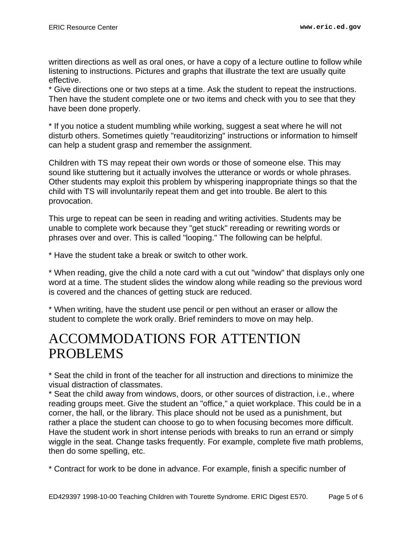written directions as well as oral ones, or have a copy of a lecture outline to follow while listening to instructions. Pictures and graphs that illustrate the text are usually quite effective.

\* Give directions one or two steps at a time. Ask the student to repeat the instructions. Then have the student complete one or two items and check with you to see that they have been done properly.

\* If you notice a student mumbling while working, suggest a seat where he will not disturb others. Sometimes quietly "reauditorizing" instructions or information to himself can help a student grasp and remember the assignment.

Children with TS may repeat their own words or those of someone else. This may sound like stuttering but it actually involves the utterance or words or whole phrases. Other students may exploit this problem by whispering inappropriate things so that the child with TS will involuntarily repeat them and get into trouble. Be alert to this provocation.

This urge to repeat can be seen in reading and writing activities. Students may be unable to complete work because they "get stuck" rereading or rewriting words or phrases over and over. This is called "looping." The following can be helpful.

\* Have the student take a break or switch to other work.

\* When reading, give the child a note card with a cut out "window" that displays only one word at a time. The student slides the window along while reading so the previous word is covered and the chances of getting stuck are reduced.

\* When writing, have the student use pencil or pen without an eraser or allow the student to complete the work orally. Brief reminders to move on may help.

### <span id="page-4-0"></span>ACCOMMODATIONS FOR ATTENTION PROBLEMS

\* Seat the child in front of the teacher for all instruction and directions to minimize the visual distraction of classmates.

\* Seat the child away from windows, doors, or other sources of distraction, i.e., where reading groups meet. Give the student an "office," a quiet workplace. This could be in a corner, the hall, or the library. This place should not be used as a punishment, but rather a place the student can choose to go to when focusing becomes more difficult. Have the student work in short intense periods with breaks to run an errand or simply wiggle in the seat. Change tasks frequently. For example, complete five math problems, then do some spelling, etc.

\* Contract for work to be done in advance. For example, finish a specific number of